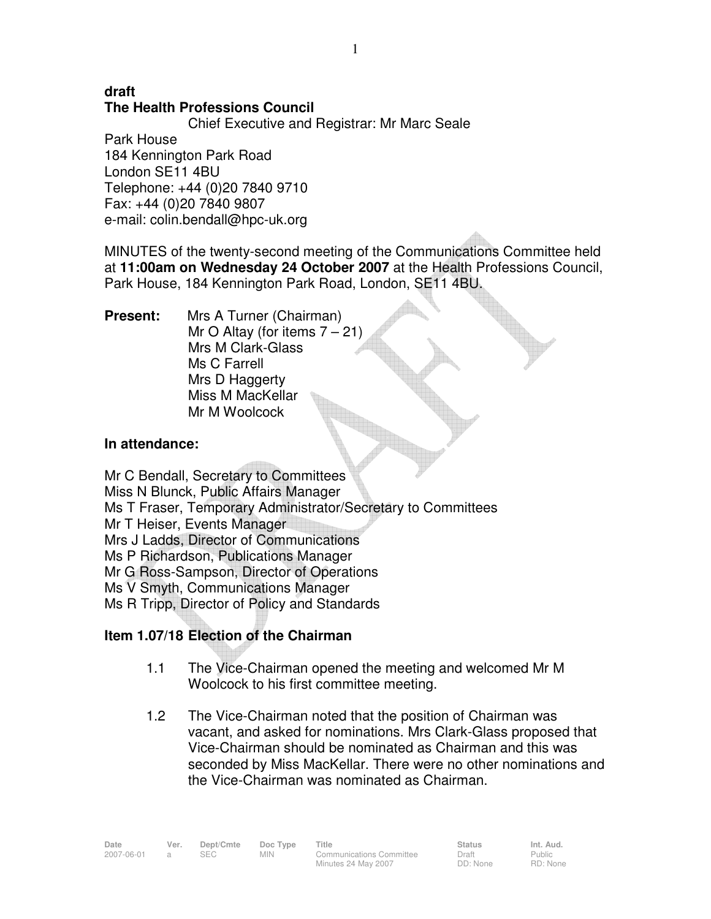# **draft The Health Professions Council**

Chief Executive and Registrar: Mr Marc Seale

Park House 184 Kennington Park Road London SE11 4BU Telephone: +44 (0)20 7840 9710 Fax: +44 (0)20 7840 9807 e-mail: colin.bendall@hpc-uk.org

MINUTES of the twenty-second meeting of the Communications Committee held at **11:00am on Wednesday 24 October 2007** at the Health Professions Council, Park House, 184 Kennington Park Road, London, SE11 4BU.

**Present:** Mrs A Turner (Chairman) Mr O Altay (for items  $7 - 21$ ) Mrs M Clark-Glass Ms C Farrell Mrs D Haggerty Miss M MacKellar Mr M Woolcock

# **In attendance:**

Mr C Bendall, Secretary to Committees Miss N Blunck, Public Affairs Manager Ms T Fraser, Temporary Administrator/Secretary to Committees Mr T Heiser, Events Manager Mrs J Ladds, Director of Communications Ms P Richardson, Publications Manager Mr G Ross-Sampson, Director of Operations Ms V Smyth, Communications Manager Ms R Tripp, Director of Policy and Standards

# **Item 1.07/18 Election of the Chairman**

- 1.1 The Vice-Chairman opened the meeting and welcomed Mr M Woolcock to his first committee meeting.
- 1.2 The Vice-Chairman noted that the position of Chairman was vacant, and asked for nominations. Mrs Clark-Glass proposed that Vice-Chairman should be nominated as Chairman and this was seconded by Miss MacKellar. There were no other nominations and the Vice-Chairman was nominated as Chairman.

Date Ver. Dept/Cmte Doc<sup>Type</sup> Title **Status** Status Int. Aud. 2007-06-01 a SEC MIN Communications Committee

Minutes 24 May 2007

Draft DD: None Public RD: None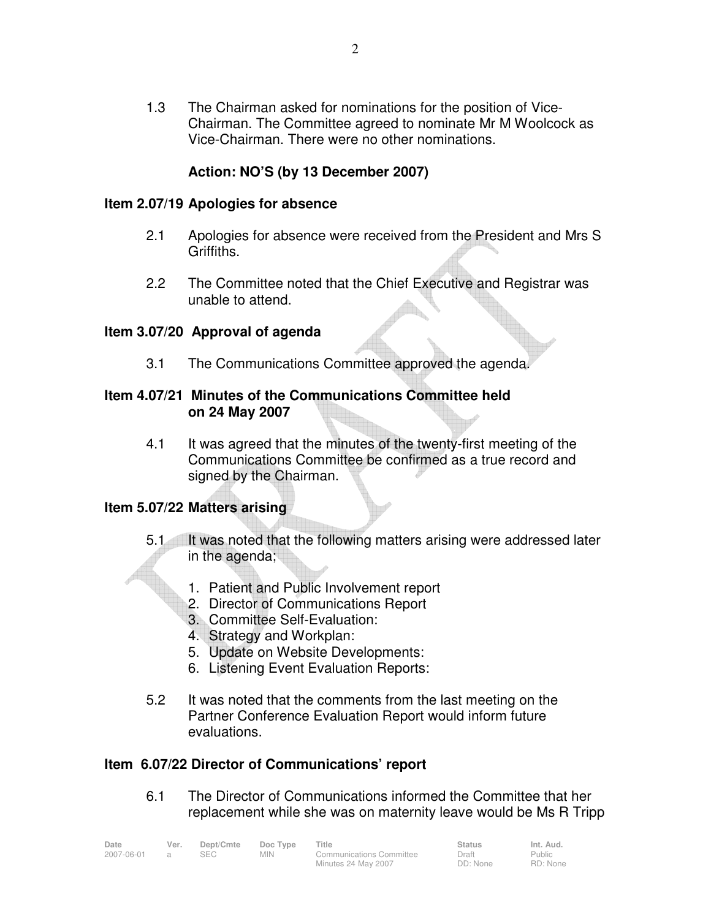1.3 The Chairman asked for nominations for the position of Vice-Chairman. The Committee agreed to nominate Mr M Woolcock as Vice-Chairman. There were no other nominations.

# **Action: NO'S (by 13 December 2007)**

#### **Item 2.07/19 Apologies for absence**

- 2.1 Apologies for absence were received from the President and Mrs S Griffiths.
- 2.2 The Committee noted that the Chief Executive and Registrar was unable to attend.

#### **Item 3.07/20 Approval of agenda**

3.1 The Communications Committee approved the agenda.

## **Item 4.07/21 Minutes of the Communications Committee held on 24 May 2007**

4.1 It was agreed that the minutes of the twenty-first meeting of the Communications Committee be confirmed as a true record and signed by the Chairman.

#### **Item 5.07/22 Matters arising**

- 5.1 It was noted that the following matters arising were addressed later in the agenda;
	- 1. Patient and Public Involvement report
	- 2. Director of Communications Report
	- 3. Committee Self-Evaluation:
	- 4. Strategy and Workplan:
	- 5. Update on Website Developments:
	- 6. Listening Event Evaluation Reports:
- 5.2 It was noted that the comments from the last meeting on the Partner Conference Evaluation Report would inform future evaluations.

## **Item 6.07/22 Director of Communications' report**

6.1 The Director of Communications informed the Committee that her replacement while she was on maternity leave would be Ms R Tripp

| Date       | Ver. | Dept/Cmte | Doc Type   | Title                    | Status   | Int. Aud.     |  |
|------------|------|-----------|------------|--------------------------|----------|---------------|--|
| 2007-06-01 |      |           | <b>MIN</b> | Communications Committee | Draft    | <b>Public</b> |  |
|            |      |           |            | Minutes 24 May 2007      | DD: None | RD: None      |  |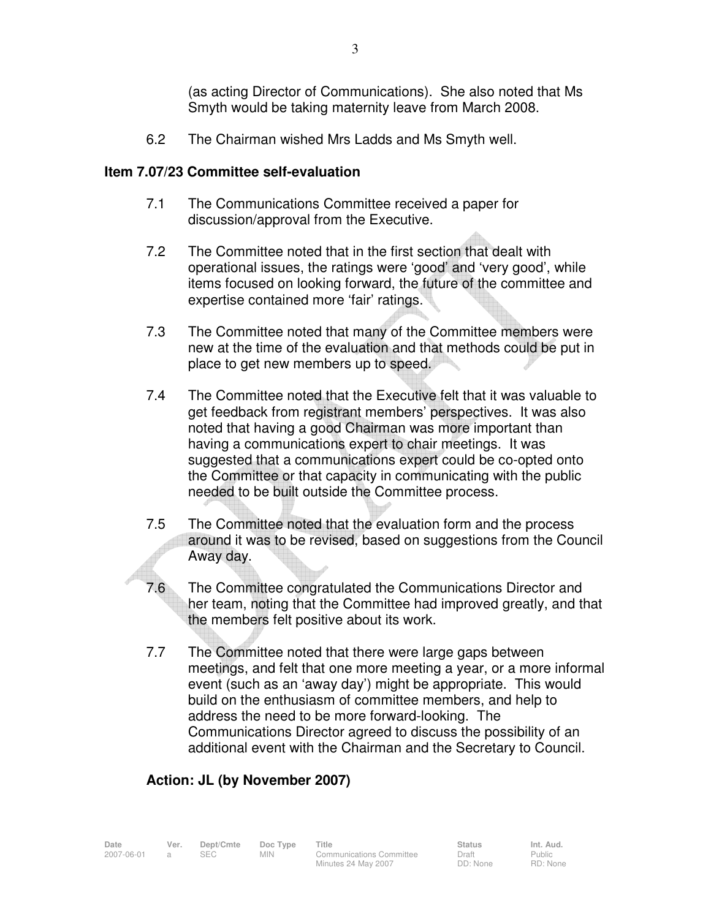(as acting Director of Communications). She also noted that Ms Smyth would be taking maternity leave from March 2008.

6.2 The Chairman wished Mrs Ladds and Ms Smyth well.

## **Item 7.07/23 Committee self-evaluation**

- 7.1 The Communications Committee received a paper for discussion/approval from the Executive.
- 7.2 The Committee noted that in the first section that dealt with operational issues, the ratings were 'good' and 'very good', while items focused on looking forward, the future of the committee and expertise contained more 'fair' ratings.
- 7.3 The Committee noted that many of the Committee members were new at the time of the evaluation and that methods could be put in place to get new members up to speed.
- 7.4 The Committee noted that the Executive felt that it was valuable to get feedback from registrant members' perspectives. It was also noted that having a good Chairman was more important than having a communications expert to chair meetings. It was suggested that a communications expert could be co-opted onto the Committee or that capacity in communicating with the public needed to be built outside the Committee process.
- 7.5 The Committee noted that the evaluation form and the process around it was to be revised, based on suggestions from the Council Away day.
- 7.6 The Committee congratulated the Communications Director and her team, noting that the Committee had improved greatly, and that the members felt positive about its work.
- 7.7 The Committee noted that there were large gaps between meetings, and felt that one more meeting a year, or a more informal event (such as an 'away day') might be appropriate. This would build on the enthusiasm of committee members, and help to address the need to be more forward-looking. The Communications Director agreed to discuss the possibility of an additional event with the Chairman and the Secretary to Council.

# **Action: JL (by November 2007)**

Date Ver. Dept/Cmte Doc<sup>Type</sup> Title **Status** Status Int. Aud. 2007-06-01 a SEC MIN Communications Committee Minutes 24 May 2007 Draft DD: None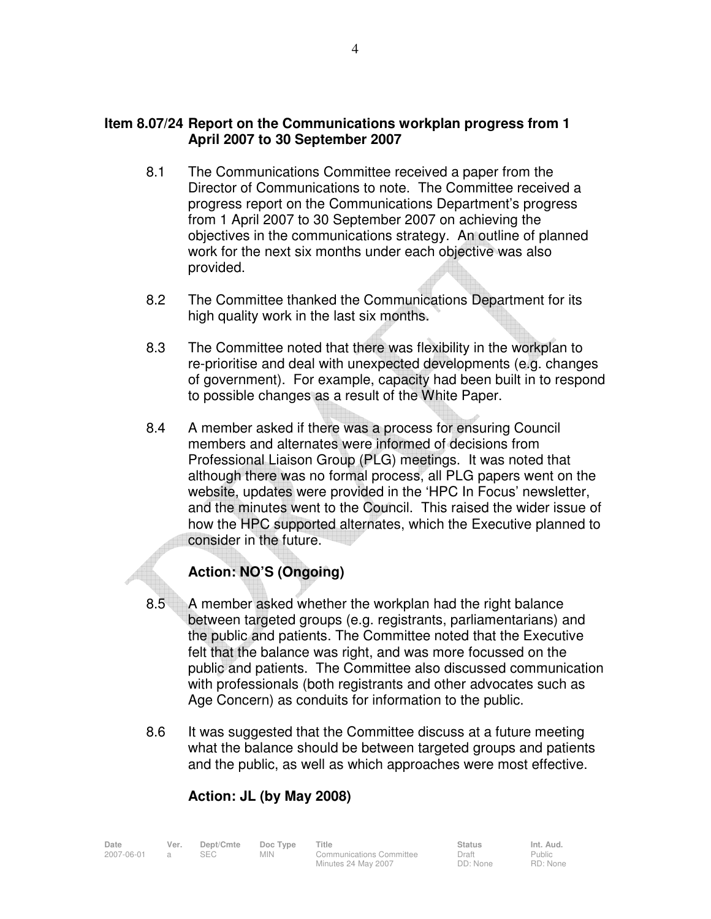## **Item 8.07/24 Report on the Communications workplan progress from 1 April 2007 to 30 September 2007**

- 8.1 The Communications Committee received a paper from the Director of Communications to note. The Committee received a progress report on the Communications Department's progress from 1 April 2007 to 30 September 2007 on achieving the objectives in the communications strategy. An outline of planned work for the next six months under each objective was also provided.
- 8.2 The Committee thanked the Communications Department for its high quality work in the last six months.
- 8.3 The Committee noted that there was flexibility in the workplan to re-prioritise and deal with unexpected developments (e.g. changes of government). For example, capacity had been built in to respond to possible changes as a result of the White Paper.
- 8.4 A member asked if there was a process for ensuring Council members and alternates were informed of decisions from Professional Liaison Group (PLG) meetings. It was noted that although there was no formal process, all PLG papers went on the website, updates were provided in the 'HPC In Focus' newsletter, and the minutes went to the Council. This raised the wider issue of how the HPC supported alternates, which the Executive planned to consider in the future.

# **Action: NO'S (Ongoing)**

- 8.5 A member asked whether the workplan had the right balance between targeted groups (e.g. registrants, parliamentarians) and the public and patients. The Committee noted that the Executive felt that the balance was right, and was more focussed on the public and patients. The Committee also discussed communication with professionals (both registrants and other advocates such as Age Concern) as conduits for information to the public.
- 8.6 It was suggested that the Committee discuss at a future meeting what the balance should be between targeted groups and patients and the public, as well as which approaches were most effective.

# **Action: JL (by May 2008)**

Date Ver. Dept/Cmte Doc<sup>Type</sup> Title **Status** Status Int. Aud. 2007-06-01 a SEC MIN Communications Committee Minutes 24 May 2007

Public RD: None

Draft DD: None

4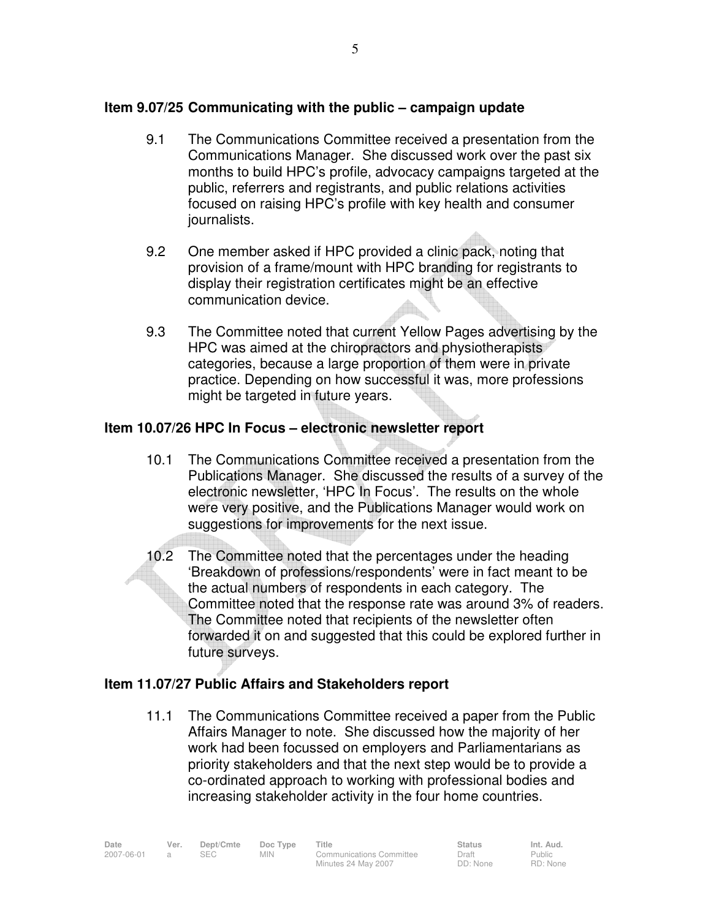# **Item 9.07/25 Communicating with the public – campaign update**

- 9.1 The Communications Committee received a presentation from the Communications Manager. She discussed work over the past six months to build HPC's profile, advocacy campaigns targeted at the public, referrers and registrants, and public relations activities focused on raising HPC's profile with key health and consumer journalists.
- 9.2 One member asked if HPC provided a clinic pack, noting that provision of a frame/mount with HPC branding for registrants to display their registration certificates might be an effective communication device.
- 9.3 The Committee noted that current Yellow Pages advertising by the HPC was aimed at the chiropractors and physiotherapists categories, because a large proportion of them were in private practice. Depending on how successful it was, more professions might be targeted in future years.

# **Item 10.07/26 HPC In Focus – electronic newsletter report**

- 10.1 The Communications Committee received a presentation from the Publications Manager. She discussed the results of a survey of the electronic newsletter, 'HPC In Focus'. The results on the whole were very positive, and the Publications Manager would work on suggestions for improvements for the next issue.
- 10.2 The Committee noted that the percentages under the heading 'Breakdown of professions/respondents' were in fact meant to be the actual numbers of respondents in each category.The Committee noted that the response rate was around 3% of readers. The Committee noted that recipients of the newsletter often forwarded it on and suggested that this could be explored further in future surveys.

# **Item 11.07/27 Public Affairs and Stakeholders report**

11.1 The Communications Committee received a paper from the Public Affairs Manager to note. She discussed how the majority of her work had been focussed on employers and Parliamentarians as priority stakeholders and that the next step would be to provide a co-ordinated approach to working with professional bodies and increasing stakeholder activity in the four home countries.

Date Ver. Dept/Cmte Doc<sup>Type</sup> Title **Status** Status Int. Aud. 2007-06-01 a SEC MIN Communications Committee Minutes 24 May 2007

Draft DD: None Public RD: None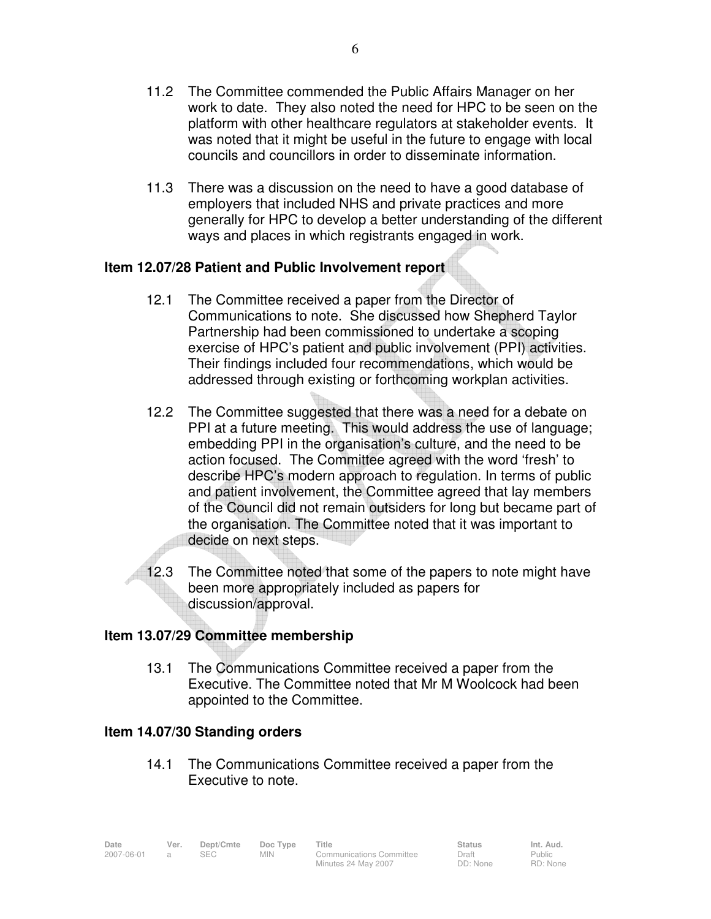- 11.2 The Committee commended the Public Affairs Manager on her work to date. They also noted the need for HPC to be seen on the platform with other healthcare regulators at stakeholder events. It was noted that it might be useful in the future to engage with local councils and councillors in order to disseminate information.
- 11.3 There was a discussion on the need to have a good database of employers that included NHS and private practices and more generally for HPC to develop a better understanding of the different ways and places in which registrants engaged in work.

# **Item 12.07/28 Patient and Public Involvement report**

- 12.1 The Committee received a paper from the Director of Communications to note. She discussed how Shepherd Taylor Partnership had been commissioned to undertake a scoping exercise of HPC's patient and public involvement (PPI) activities. Their findings included four recommendations, which would be addressed through existing or forthcoming workplan activities.
- 12.2 The Committee suggested that there was a need for a debate on PPI at a future meeting. This would address the use of language; embedding PPI in the organisation's culture, and the need to be action focused. The Committee agreed with the word 'fresh' to describe HPC's modern approach to regulation. In terms of public and patient involvement, the Committee agreed that lay members of the Council did not remain outsiders for long but became part of the organisation. The Committee noted that it was important to decide on next steps.
- 12.3 The Committee noted that some of the papers to note might have been more appropriately included as papers for discussion/approval.

## **Item 13.07/29 Committee membership**

13.1 The Communications Committee received a paper from the Executive. The Committee noted that Mr M Woolcock had been appointed to the Committee.

## **Item 14.07/30 Standing orders**

14.1 The Communications Committee received a paper from the Executive to note.